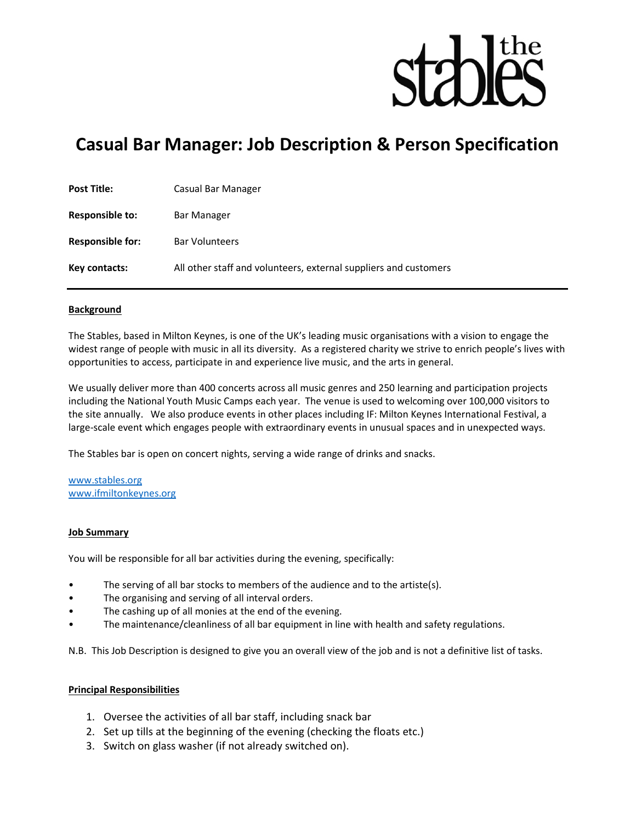

# Casual Bar Manager: Job Description & Person Specification

| <b>Post Title:</b>      | Casual Bar Manager                                               |
|-------------------------|------------------------------------------------------------------|
| <b>Responsible to:</b>  | Bar Manager                                                      |
| <b>Responsible for:</b> | <b>Bar Volunteers</b>                                            |
| Key contacts:           | All other staff and volunteers, external suppliers and customers |

#### Background

The Stables, based in Milton Keynes, is one of the UK's leading music organisations with a vision to engage the widest range of people with music in all its diversity. As a registered charity we strive to enrich people's lives with opportunities to access, participate in and experience live music, and the arts in general.

We usually deliver more than 400 concerts across all music genres and 250 learning and participation projects including the National Youth Music Camps each year. The venue is used to welcoming over 100,000 visitors to the site annually. We also produce events in other places including IF: Milton Keynes International Festival, a large-scale event which engages people with extraordinary events in unusual spaces and in unexpected ways.

The Stables bar is open on concert nights, serving a wide range of drinks and snacks.

www.stables.org www.ifmiltonkeynes.org

#### Job Summary

You will be responsible for all bar activities during the evening, specifically:

- The serving of all bar stocks to members of the audience and to the artiste(s).
- The organising and serving of all interval orders.
- The cashing up of all monies at the end of the evening.
- The maintenance/cleanliness of all bar equipment in line with health and safety regulations.

N.B. This Job Description is designed to give you an overall view of the job and is not a definitive list of tasks.

#### Principal Responsibilities

- 1. Oversee the activities of all bar staff, including snack bar
- 2. Set up tills at the beginning of the evening (checking the floats etc.)
- 3. Switch on glass washer (if not already switched on).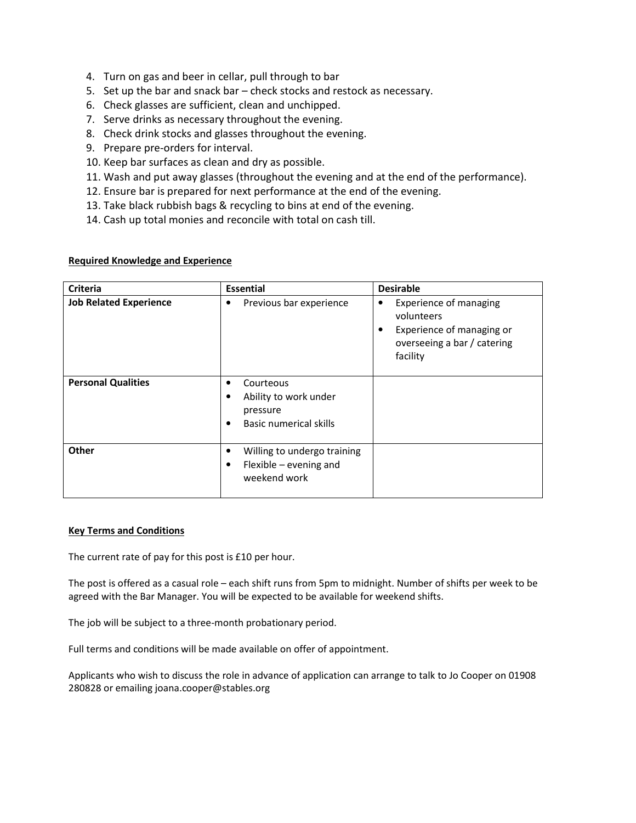- 4. Turn on gas and beer in cellar, pull through to bar
- 5. Set up the bar and snack bar check stocks and restock as necessary.
- 6. Check glasses are sufficient, clean and unchipped.
- 7. Serve drinks as necessary throughout the evening.
- 8. Check drink stocks and glasses throughout the evening.
- 9. Prepare pre-orders for interval.
- 10. Keep bar surfaces as clean and dry as possible.
- 11. Wash and put away glasses (throughout the evening and at the end of the performance).
- 12. Ensure bar is prepared for next performance at the end of the evening.
- 13. Take black rubbish bags & recycling to bins at end of the evening.
- 14. Cash up total monies and reconcile with total on cash till.

## Required Knowledge and Experience

| <b>Criteria</b>               | <b>Essential</b>                                                                                                | <b>Desirable</b>                                                                                                         |
|-------------------------------|-----------------------------------------------------------------------------------------------------------------|--------------------------------------------------------------------------------------------------------------------------|
| <b>Job Related Experience</b> | Previous bar experience<br>٠                                                                                    | <b>Experience of managing</b><br>volunteers<br>Experience of managing or<br>٠<br>overseeing a bar / catering<br>facility |
| <b>Personal Qualities</b>     | Courteous<br>$\bullet$<br>Ability to work under<br>$\bullet$<br>pressure<br>Basic numerical skills<br>$\bullet$ |                                                                                                                          |
| Other                         | Willing to undergo training<br>$\bullet$<br>Flexible $-$ evening and<br>$\bullet$<br>weekend work               |                                                                                                                          |

# Key Terms and Conditions

The current rate of pay for this post is £10 per hour.

The post is offered as a casual role – each shift runs from 5pm to midnight. Number of shifts per week to be agreed with the Bar Manager. You will be expected to be available for weekend shifts.

The job will be subject to a three-month probationary period.

Full terms and conditions will be made available on offer of appointment.

Applicants who wish to discuss the role in advance of application can arrange to talk to Jo Cooper on 01908 280828 or emailing joana.cooper@stables.org